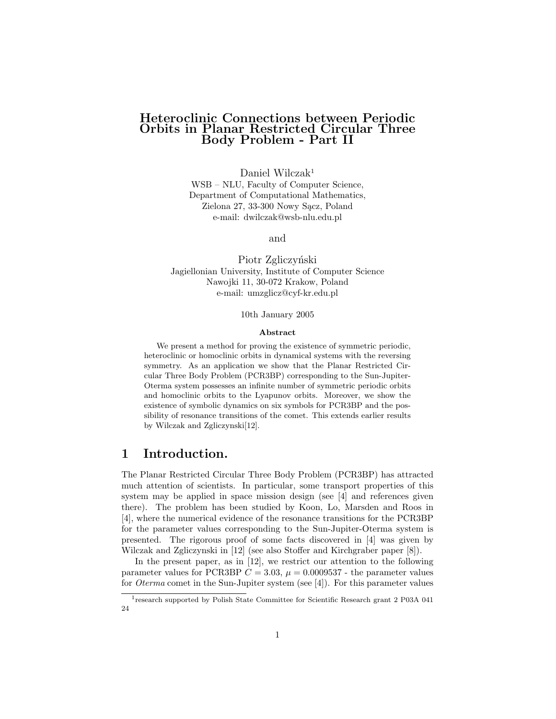### Heteroclinic Connections between Periodic Orbits in Planar Restricted Circular Three Body Problem - Part II

Daniel Wilczak<sup>1</sup>

WSB – NLU, Faculty of Computer Science, Department of Computational Mathematics, Zielona 27, 33-300 Nowy Sącz, Poland e-mail: dwilczak@wsb-nlu.edu.pl

and

Piotr Zgliczyński Jagiellonian University, Institute of Computer Science Nawojki 11, 30-072 Krakow, Poland e-mail: umzglicz@cyf-kr.edu.pl

10th January 2005

#### Abstract

We present a method for proving the existence of symmetric periodic, heteroclinic or homoclinic orbits in dynamical systems with the reversing symmetry. As an application we show that the Planar Restricted Circular Three Body Problem (PCR3BP) corresponding to the Sun-Jupiter-Oterma system possesses an infinite number of symmetric periodic orbits and homoclinic orbits to the Lyapunov orbits. Moreover, we show the existence of symbolic dynamics on six symbols for PCR3BP and the possibility of resonance transitions of the comet. This extends earlier results by Wilczak and Zgliczynski[12].

# 1 Introduction.

The Planar Restricted Circular Three Body Problem (PCR3BP) has attracted much attention of scientists. In particular, some transport properties of this system may be applied in space mission design (see [4] and references given there). The problem has been studied by Koon, Lo, Marsden and Roos in [4], where the numerical evidence of the resonance transitions for the PCR3BP for the parameter values corresponding to the Sun-Jupiter-Oterma system is presented. The rigorous proof of some facts discovered in [4] was given by Wilczak and Zgliczynski in [12] (see also Stoffer and Kirchgraber paper [8]).

In the present paper, as in [12], we restrict our attention to the following parameter values for PCR3BP  $C = 3.03$ ,  $\mu = 0.0009537$  - the parameter values for Oterma comet in the Sun-Jupiter system (see [4]). For this parameter values

<sup>&</sup>lt;sup>1</sup> research supported by Polish State Committee for Scientific Research grant 2 P03A 041 24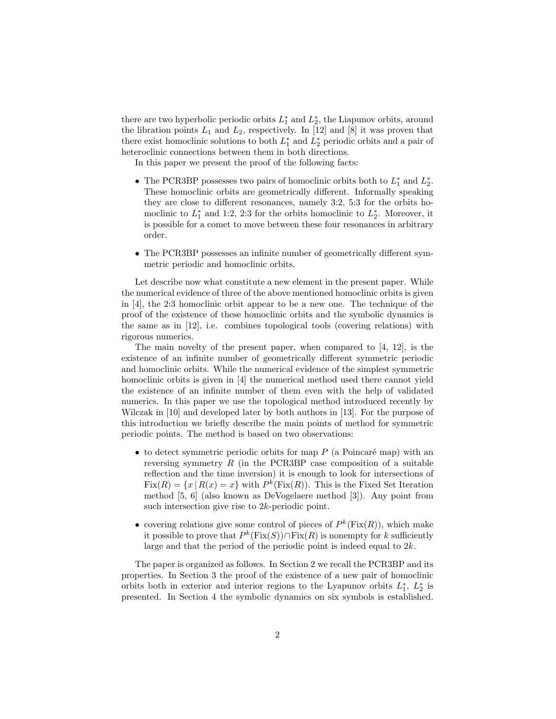there are two hyperbolic periodic orbits  $L_1^*$  and  $L_2^*$ , the Liapunov orbits, around the libration points  $L_1$  and  $L_2$ , respectively. In [12] and [8] it was proven that there exist homoclinic solutions to both  $L_1^*$  and  $L_2^*$  periodic orbits and a pair of heteroclinic connections between them in both directions.

In this paper we present the proof of the following facts:

- The PCR3BP possesses two pairs of homoclinic orbits both to  $L_1^*$  and  $L_2^*$ . These homoclinic orbits are geometrically different. Informally speaking they are close to different resonances, namely 3:2, 5:3 for the orbits homoclinic to  $L_1^*$  and 1:2, 2:3 for the orbits homoclinic to  $L_2^*$ . Moreover, it is possible for a comet to move between these four resonances in arbitrary order.
- The PCR3BP possesses an infinite number of geometrically different symmetric periodic and homoclinic orbits.

Let describe now what constitute a new element in the present paper. While the numerical evidence of three of the above mentioned homoclinic orbits is given in [4], the 2:3 homoclinic orbit appear to be a new one. The technique of the proof of the existence of these homoclinic orbits and the symbolic dynamics is the same as in [12], i.e. combines topological tools (covering relations) with rigorous numerics.

The main novelty of the present paper, when compared to [4, 12], is the existence of an infinite number of geometrically different symmetric periodic and homoclinic orbits. While the numerical evidence of the simplest symmetric homoclinic orbits is given in [4] the numerical method used there cannot yield the existence of an infinite number of them even with the help of validated numerics. In this paper we use the topological method introduced recently by Wilczak in [10] and developed later by both authors in [13]. For the purpose of this introduction we briefly describe the main points of method for symmetric periodic points. The method is based on two observations:

- to detect symmetric periodic orbits for map  $P$  (a Poincaré map) with an reversing symmetry  $R$  (in the PCR3BP case composition of a suitable reflection and the time inversion) it is enough to look for intersections of  $Fix(R) = \{x \mid R(x) = x\}$  with  $P^k(Fix(R))$ . This is the Fixed Set Iteration method [5, 6] (also known as DeVogelaere method [3]). Any point from such intersection give rise to 2k-periodic point.
- covering relations give some control of pieces of  $P^k(\text{Fix}(R))$ , which make it possible to prove that  $P^k(\text{Fix}(S)) \cap \text{Fix}(R)$  is nonempty for k sufficiently large and that the period of the periodic point is indeed equal to 2k.

The paper is organized as follows. In Section 2 we recall the PCR3BP and its properties. In Section 3 the proof of the existence of a new pair of homoclinic orbits both in exterior and interior regions to the Lyapunov orbits  $L_1^*, L_2^*$  is presented. In Section 4 the symbolic dynamics on six symbols is established.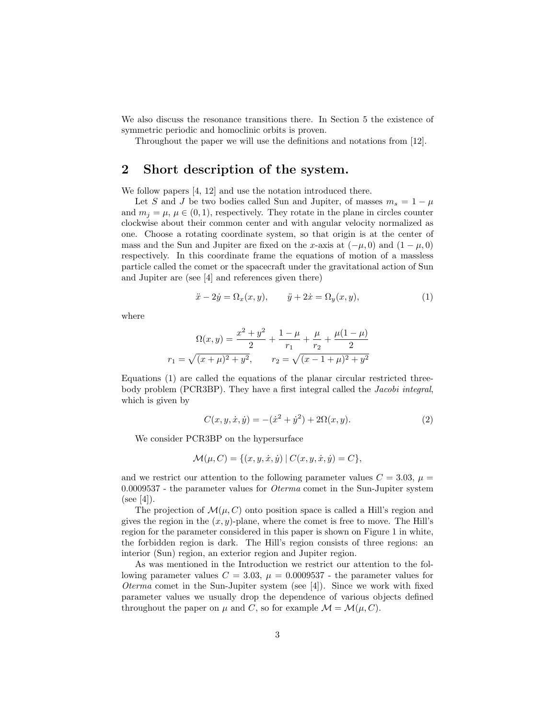We also discuss the resonance transitions there. In Section 5 the existence of symmetric periodic and homoclinic orbits is proven.

Throughout the paper we will use the definitions and notations from [12].

# 2 Short description of the system.

We follow papers [4, 12] and use the notation introduced there.

Let S and J be two bodies called Sun and Jupiter, of masses  $m_s = 1 - \mu$ and  $m_i = \mu$ ,  $\mu \in (0, 1)$ , respectively. They rotate in the plane in circles counter clockwise about their common center and with angular velocity normalized as one. Choose a rotating coordinate system, so that origin is at the center of mass and the Sun and Jupiter are fixed on the x-axis at  $(-\mu, 0)$  and  $(1 - \mu, 0)$ respectively. In this coordinate frame the equations of motion of a massless particle called the comet or the spacecraft under the gravitational action of Sun and Jupiter are (see [4] and references given there)

$$
\ddot{x} - 2\dot{y} = \Omega_x(x, y), \qquad \ddot{y} + 2\dot{x} = \Omega_y(x, y), \tag{1}
$$

where

$$
\Omega(x,y) = \frac{x^2 + y^2}{2} + \frac{1 - \mu}{r_1} + \frac{\mu}{r_2} + \frac{\mu(1 - \mu)}{2}
$$

$$
r_1 = \sqrt{(x + \mu)^2 + y^2}, \qquad r_2 = \sqrt{(x - 1 + \mu)^2 + y^2}
$$

Equations (1) are called the equations of the planar circular restricted threebody problem (PCR3BP). They have a first integral called the Jacobi integral, which is given by

$$
C(x, y, \dot{x}, \dot{y}) = -(\dot{x}^2 + \dot{y}^2) + 2\Omega(x, y). \tag{2}
$$

We consider PCR3BP on the hypersurface

$$
\mathcal{M}(\mu, C) = \{ (x, y, \dot{x}, \dot{y}) | C(x, y, \dot{x}, \dot{y}) = C \},
$$

and we restrict our attention to the following parameter values  $C = 3.03$ ,  $\mu =$ 0.0009537 - the parameter values for Oterma comet in the Sun-Jupiter system  $(see [4]).$ 

The projection of  $\mathcal{M}(\mu, C)$  onto position space is called a Hill's region and gives the region in the  $(x, y)$ -plane, where the comet is free to move. The Hill's region for the parameter considered in this paper is shown on Figure 1 in white, the forbidden region is dark. The Hill's region consists of three regions: an interior (Sun) region, an exterior region and Jupiter region.

As was mentioned in the Introduction we restrict our attention to the following parameter values  $C = 3.03$ ,  $\mu = 0.0009537$  - the parameter values for *Oterma* comet in the Sun-Jupiter system (see  $[4]$ ). Since we work with fixed parameter values we usually drop the dependence of various objects defined throughout the paper on  $\mu$  and C, so for example  $\mathcal{M} = \mathcal{M}(\mu, C)$ .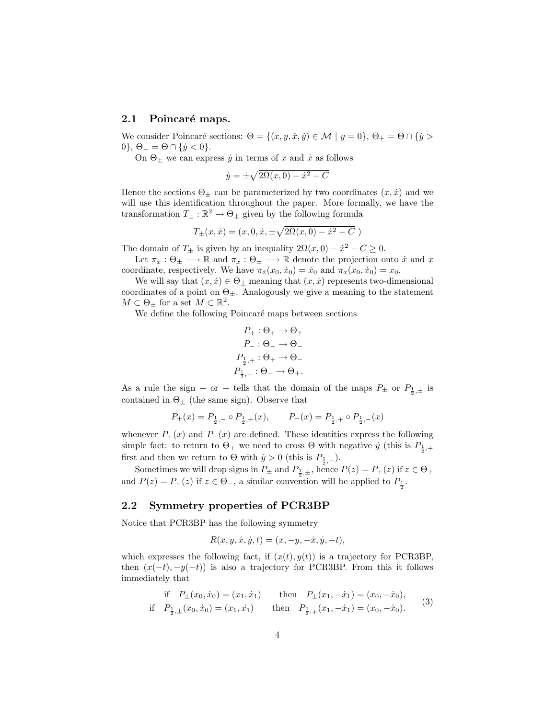#### 2.1 Poincaré maps.

We consider Poincaré sections:  $\Theta = \{(x, y, \dot{x}, \dot{y}) \in \mathcal{M} \mid y = 0\}, \Theta_+ = \Theta \cap \{\dot{y} > 0\}$ 0},  $\Theta_{-} = \Theta \cap {\hat{y} < 0}.$ 

On  $\Theta_{\pm}$  we can express  $\dot{y}$  in terms of x and  $\dot{x}$  as follows

$$
\dot{y} = \pm \sqrt{2\Omega(x,0) - \dot{x}^2 - C}
$$

Hence the sections  $\Theta_{\pm}$  can be parameterized by two coordinates  $(x, \dot{x})$  and we will use this identification throughout the paper. More formally, we have the transformation  $T_{\pm} : \mathbb{R}^2 \to \Theta_{\pm}$  given by the following formula

$$
T_{\pm}(x,\dot{x}) = (x,0,\dot{x},\pm\sqrt{2\Omega(x,0) - \dot{x}^2 - C})
$$

The domain of  $T_{\pm}$  is given by an inequality  $2\Omega(x,0) - \dot{x}^2 - C \geq 0$ .

Let  $\pi_x : \Theta_{\pm} \longrightarrow \mathbb{R}$  and  $\pi_x : \Theta_{\pm} \longrightarrow \mathbb{R}$  denote the projection onto  $\dot{x}$  and  $x$ coordinate, respectively. We have  $\pi_{\dot{x}}(x_0, \dot{x}_0) = \dot{x}_0$  and  $\pi_x(x_0, \dot{x}_0) = x_0$ .

We will say that  $(x, \dot{x}) \in \Theta_{\pm}$  meaning that  $(x, \dot{x})$  represents two-dimensional coordinates of a point on  $\Theta_{\pm}$ . Analogously we give a meaning to the statement  $M \subset \Theta_{\pm}$  for a set  $M \subset \mathbb{R}^2$ .

We define the following Poincaré maps between sections

$$
P_{+} : \Theta_{+} \to \Theta_{+}
$$

$$
P_{-} : \Theta_{-} \to \Theta_{-}
$$

$$
P_{\frac{1}{2},+} : \Theta_{+} \to \Theta_{-}
$$

$$
P_{\frac{1}{2},-} : \Theta_{-} \to \Theta_{+}.
$$

As a rule the sign + or - tells that the domain of the maps  $P_{\pm}$  or  $P_{\frac{1}{2},\pm}$  is contained in  $\Theta_{\pm}$  (the same sign). Observe that

$$
P_{+}(x) = P_{\frac{1}{2},-} \circ P_{\frac{1}{2},+}(x), \qquad P_{-}(x) = P_{\frac{1}{2},+} \circ P_{\frac{1}{2},-}(x)
$$

whenever  $P_+(x)$  and  $P_-(x)$  are defined. These identities express the following simple fact: to return to  $\Theta_+$  we need to cross  $\Theta$  with negative  $\dot{y}$  (this is  $P_{\frac{1}{2},+}$ first and then we return to  $\Theta$  with  $\dot{y} > 0$  (this is  $P_{\frac{1}{2},-}$ ).

Sometimes we will drop signs in  $P_{\pm}$  and  $P_{\frac{1}{2},\pm}$ , hence  $P(z) = P_{+}(z)$  if  $z \in \Theta_{+}$ and  $P(z) = P_-(z)$  if  $z \in \Theta_-,$  a similar convention will be applied to  $P_{\frac{1}{2}}$ .

### 2.2 Symmetry properties of PCR3BP

Notice that PCR3BP has the following symmetry

$$
R(x, y, \dot{x}, \dot{y}, t) = (x, -y, -\dot{x}, \dot{y}, -t),
$$

which expresses the following fact, if  $(x(t), y(t))$  is a trajectory for PCR3BP, then  $(x(-t), -y(-t))$  is also a trajectory for PCR3BP. From this it follows immediately that

if 
$$
P_{\pm}(x_0, \dot{x}_0) = (x_1, \dot{x}_1)
$$
 then  $P_{\pm}(x_1, -\dot{x}_1) = (x_0, -\dot{x}_0)$ ,  
if  $P_{\frac{1}{2}, \pm}(x_0, \dot{x}_0) = (x_1, \dot{x}_1)$  then  $P_{\frac{1}{2}, \mp}(x_1, -\dot{x}_1) = (x_0, -\dot{x}_0)$ . (3)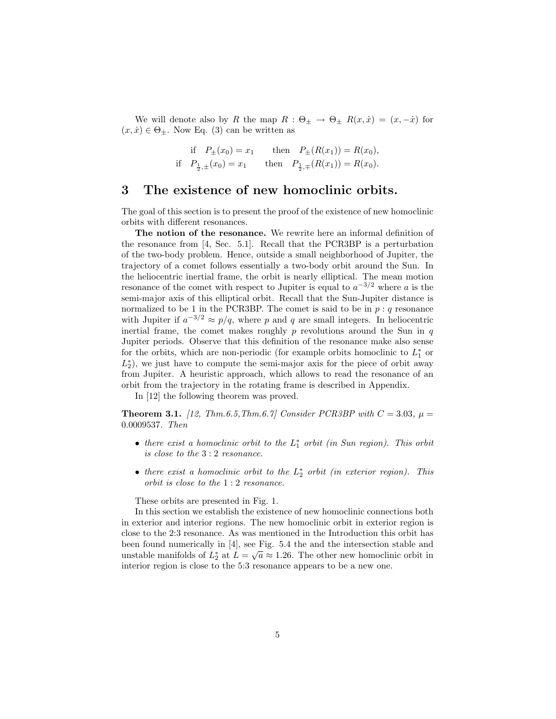We will denote also by R the map  $R : \Theta_{\pm} \to \Theta_{\pm} R(x, \dot{x}) = (x, -\dot{x})$  for  $(x, \dot{x}) \in \Theta_{\pm}$ . Now Eq. (3) can be written as

if 
$$
P_{\pm}(x_0) = x_1
$$
 then  $P_{\pm}(R(x_1)) = R(x_0)$ ,  
if  $P_{\frac{1}{2}, \pm}(x_0) = x_1$  then  $P_{\frac{1}{2}, \mp}(R(x_1)) = R(x_0)$ .

## 3 The existence of new homoclinic orbits.

The goal of this section is to present the proof of the existence of new homoclinic orbits with different resonances.

The notion of the resonance. We rewrite here an informal definition of the resonance from [4, Sec. 5.1]. Recall that the PCR3BP is a perturbation of the two-body problem. Hence, outside a small neighborhood of Jupiter, the trajectory of a comet follows essentially a two-body orbit around the Sun. In the heliocentric inertial frame, the orbit is nearly elliptical. The mean motion resonance of the comet with respect to Jupiter is equal to  $a^{-3/2}$  where a is the semi-major axis of this elliptical orbit. Recall that the Sun-Jupiter distance is normalized to be 1 in the PCR3BP. The comet is said to be in  $p : q$  resonance with Jupiter if  $a^{-3/2} \approx p/q$ , where p and q are small integers. In heliocentric inertial frame, the comet makes roughly  $p$  revolutions around the Sun in  $q$ Jupiter periods. Observe that this definition of the resonance make also sense for the orbits, which are non-periodic (for example orbits homoclinic to  $L_1^*$  or  $L_2^*$ ), we just have to compute the semi-major axis for the piece of orbit away from Jupiter. A heuristic approach, which allows to read the resonance of an orbit from the trajectory in the rotating frame is described in Appendix.

In [12] the following theorem was proved.

**Theorem 3.1.** [12, Thm.6.5, Thm.6.7] Consider PCR3BP with  $C = 3.03$ ,  $\mu =$ 0.0009537. Then

- there exist a homoclinic orbit to the  $L_1^*$  orbit (in Sun region). This orbit is close to the 3 : 2 resonance.
- there exist a homoclinic orbit to the  $L_2^*$  orbit (in exterior region). This orbit is close to the 1 : 2 resonance.

These orbits are presented in Fig. 1.

In this section we establish the existence of new homoclinic connections both in exterior and interior regions. The new homoclinic orbit in exterior region is close to the 2:3 resonance. As was mentioned in the Introduction this orbit has been found numerically in [4], see Fig. 5.4 the and the intersection stable and unstable manifolds of  $L_2^*$  at  $L = \sqrt{a} \approx 1.26$ . The other new homoclinic orbit in interior region is close to the 5:3 resonance appears to be a new one.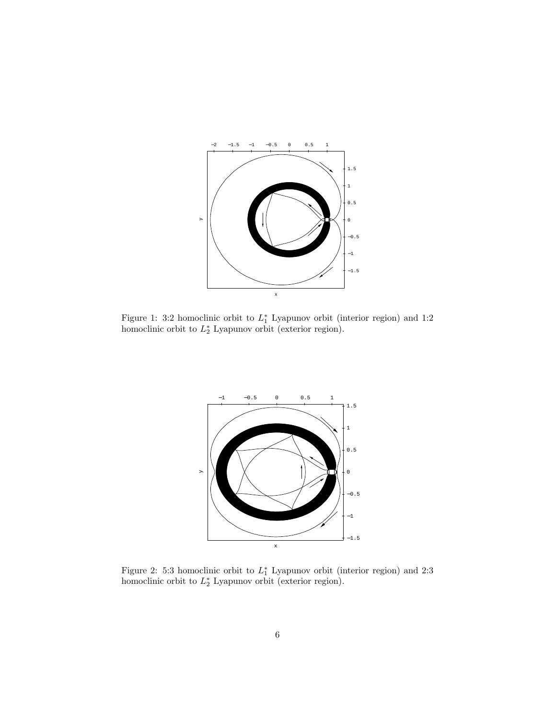

Figure 1: 3:2 homoclinic orbit to  $L_1^*$  Lyapunov orbit (interior region) and 1:2 homoclinic orbit to  $L_2^*$  Lyapunov orbit (exterior region).



Figure 2: 5:3 homoclinic orbit to  $L_1^*$  Lyapunov orbit (interior region) and 2:3 homoclinic orbit to  $L_2^*$  Lyapunov orbit (exterior region).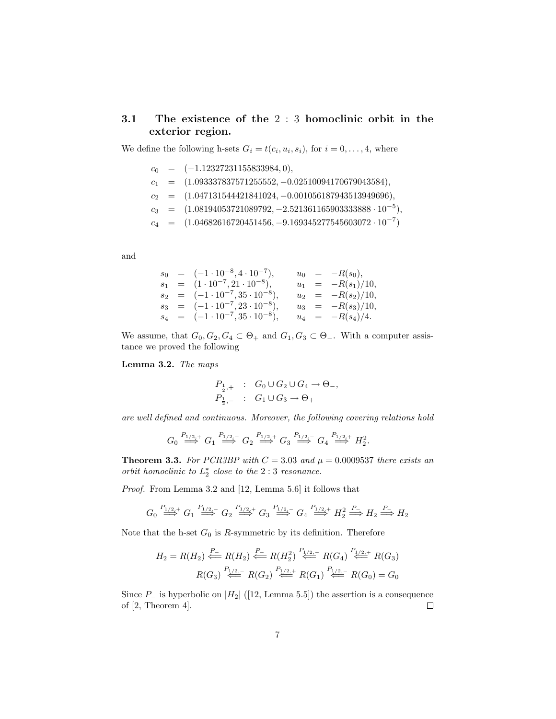### 3.1 The existence of the 2 : 3 homoclinic orbit in the exterior region.

We define the following h-sets  $G_i = t(c_i, u_i, s_i)$ , for  $i = 0, \ldots, 4$ , where

 $c_0 = (-1.12327231155833984, 0),$  $c_1 = (1.093337837571255552, -0.02510094170679043584),$  $c_2 = (1.047131544421841024, -0.001056187943513949696),$  $c_3 = (1.08194053721089792, -2.521361165903333888 \cdot 10^{-5}),$  $c_4 = (1.04682616720451456, -9.169345277545603072 \cdot 10^{-7})$ 

and

$$
s_0 = (-1 \cdot 10^{-8}, 4 \cdot 10^{-7}), \t u_0 = -R(s_0), \ns_1 = (1 \cdot 10^{-7}, 21 \cdot 10^{-8}), \t u_1 = -R(s_1)/10, \ns_2 = (-1 \cdot 10^{-7}, 35 \cdot 10^{-8}), \t u_2 = -R(s_2)/10, \ns_3 = (-1 \cdot 10^{-7}, 23 \cdot 10^{-8}), \t u_3 = -R(s_3)/10, \ns_4 = (-1 \cdot 10^{-7}, 35 \cdot 10^{-8}), \t u_4 = -R(s_4)/4.
$$

We assume, that  $G_0, G_2, G_4 \subset \Theta_+$  and  $G_1, G_3 \subset \Theta_-$ . With a computer assistance we proved the following

Lemma 3.2. The maps

$$
P_{\frac{1}{2},+} : G_0 \cup G_2 \cup G_4 \to \Theta_-,
$$
  

$$
P_{\frac{1}{2},-} : G_1 \cup G_3 \to \Theta_+
$$

are well defined and continuous. Moreover, the following covering relations hold

$$
G_0 \stackrel{P_{1/2,+}}{\Longrightarrow} G_1 \stackrel{P_{1/2,-}}{\Longrightarrow} G_2 \stackrel{P_{1/2,+}}{\Longrightarrow} G_3 \stackrel{P_{1/2,-}}{\Longrightarrow} G_4 \stackrel{P_{1/2,+}}{\Longrightarrow} H_2^2.
$$

**Theorem 3.3.** For PCR3BP with  $C = 3.03$  and  $\mu = 0.0009537$  there exists an orbit homoclinic to  $L_2^*$  close to the  $2:3$  resonance.

Proof. From Lemma 3.2 and [12, Lemma 5.6] it follows that

$$
G_0 \stackrel{P_{1/2,+}}{\Longrightarrow} G_1 \stackrel{P_{1/2,-}}{\Longrightarrow} G_2 \stackrel{P_{1/2,+}}{\Longrightarrow} G_3 \stackrel{P_{1/2,-}}{\Longrightarrow} G_4 \stackrel{P_{1/2,+}}{\Longrightarrow} H_2^2 \stackrel{P_-}{\Longrightarrow} H_2 \stackrel{P_-}{\Longrightarrow} H_2
$$

Note that the h-set  $G_0$  is R-symmetric by its definition. Therefore

$$
H_2 = R(H_2) \stackrel{P_-}{\Longleftarrow} R(H_2) \stackrel{P_-}{\Longleftarrow} R(H_2^2) \stackrel{P_{1/2,-}}{\Longleftarrow} R(G_4) \stackrel{P_{1/2,+}}{\Longleftarrow} R(G_3)
$$

$$
R(G_3) \stackrel{P_{1/2,-}}{\Longleftarrow} R(G_2) \stackrel{P_{1/2,+}}{\Longleftarrow} R(G_1) \stackrel{P_{1/2,-}}{\Longleftarrow} R(G_0) = G_0
$$

Since  $P_$  is hyperbolic on  $|H_2|$  ([12, Lemma 5.5]) the assertion is a consequence of [2, Theorem 4].  $\Box$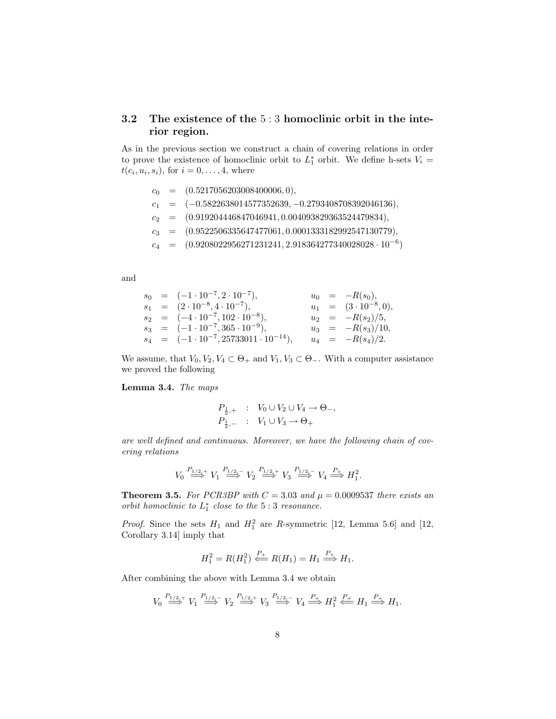### 3.2 The existence of the 5 : 3 homoclinic orbit in the interior region.

As in the previous section we construct a chain of covering relations in order to prove the existence of homoclinic orbit to  $L_1^*$  orbit. We define h-sets  $V_i =$  $t(c_i, u_i, s_i)$ , for  $i = 0, \ldots, 4$ , where

- $c_0 = (0.5217056203008400006, 0),$
- $c_1 = (-0.5822638014577352639, -0.2793408708392046136),$
- $c_2 = (0.919204446847046941, 0.004093829363524479834),$
- $c_3 = (0.9522506335647477061, 0.0001333182992547130779),$
- $c_4 = (0.9208022956271231241, 2.918364277340028028 \cdot 10^{-6})$

and

$$
s_0 = (-1 \cdot 10^{-7}, 2 \cdot 10^{-7}), \t u_0 = -R(s_0), \ns_1 = (2 \cdot 10^{-8}, 4 \cdot 10^{-7}), \t u_1 = (3 \cdot 10^{-8}, 0), \ns_2 = (-4 \cdot 10^{-7}, 102 \cdot 10^{-8}), \t u_2 = -R(s_2)/5, \ns_3 = (-1 \cdot 10^{-7}, 365 \cdot 10^{-9}), \t u_3 = -R(s_3)/10, \ns_4 = (-1 \cdot 10^{-7}, 25733011 \cdot 10^{-14}), \t u_4 = -R(s_4)/2.
$$

We assume, that  $V_0, V_2, V_4 \subset \Theta_+$  and  $V_1, V_3 \subset \Theta_-$ . With a computer assistance we proved the following

Lemma 3.4. The maps

$$
P_{\frac{1}{2},+} : V_0 \cup V_2 \cup V_4 \to \Theta_-,
$$
  

$$
P_{\frac{1}{2},-} : V_1 \cup V_3 \to \Theta_+
$$

are well defined and continuous. Moreover, we have the following chain of covering relations

$$
V_0 \stackrel{P_{1/2,+}}{\Longrightarrow} V_1 \stackrel{P_{1/2,-}}{\Longrightarrow} V_2 \stackrel{P_{1/2,+}}{\Longrightarrow} V_3 \stackrel{P_{1/2,-}}{\Longrightarrow} V_4 \stackrel{P_+}{\Longrightarrow} H_1^2.
$$

**Theorem 3.5.** For PCR3BP with  $C = 3.03$  and  $\mu = 0.0009537$  there exists an orbit homoclinic to  $L_1^*$  close to the  $5:3$  resonance.

*Proof.* Since the sets  $H_1$  and  $H_1^2$  are R-symmetric [12, Lemma 5.6] and [12, Corollary 3.14] imply that

$$
H_1^2 = R(H_1^2) \stackrel{P_+}{\Longleftarrow} R(H_1) = H_1 \stackrel{P_+}{\Longrightarrow} H_1.
$$

After combining the above with Lemma 3.4 we obtain

$$
V_0 \stackrel{P_{1/2,+}}{\Longrightarrow} V_1 \stackrel{P_{1/2,-}}{\Longrightarrow} V_2 \stackrel{P_{1/2,+}}{\Longrightarrow} V_3 \stackrel{P_{1/2,-}}{\Longrightarrow} V_4 \stackrel{P_+}{\Longrightarrow} H_1^2 \stackrel{P_+}{\Longleftarrow} H_1 \stackrel{P_+}{\Longrightarrow} H_1.
$$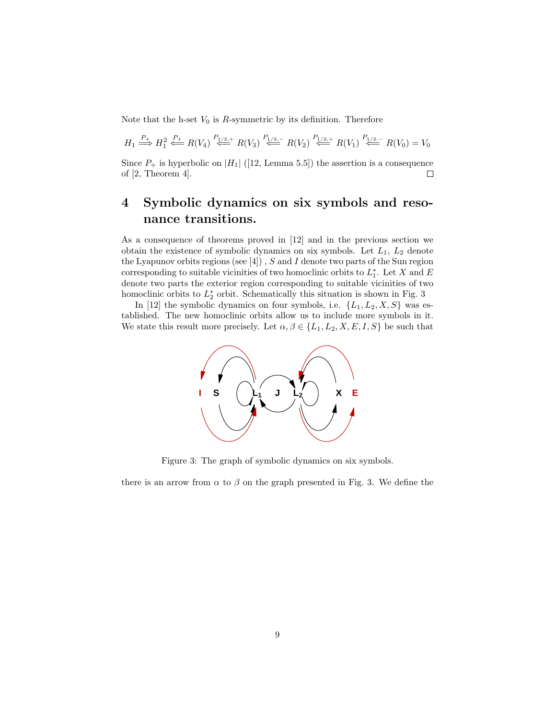Note that the h-set  $V_0$  is R-symmetric by its definition. Therefore

$$
H_1 \stackrel{P_+}{\Longrightarrow} H_1^2 \stackrel{P_+}{\Longleftarrow} R(V_4) \stackrel{P_{1/2,+}}{\Longleftarrow} R(V_3) \stackrel{P_{1/2,-}}{\Longleftarrow} R(V_2) \stackrel{P_{1/2,+}}{\Longleftarrow} R(V_1) \stackrel{P_{1/2,-}}{\Longleftarrow} R(V_0) = V_0
$$

Since  $P_+$  is hyperbolic on |H<sub>1</sub>| ([12, Lemma 5.5]) the assertion is a consequence of  $[2,$  Theorem 4.  $\Box$ 

# 4 Symbolic dynamics on six symbols and resonance transitions.

As a consequence of theorems proved in [12] and in the previous section we obtain the existence of symbolic dynamics on six symbols. Let  $L_1$ ,  $L_2$  denote the Lyapunov orbits regions (see  $[4]$ ), S and I denote two parts of the Sun region corresponding to suitable vicinities of two homoclinic orbits to  $L_1^*$ . Let X and E denote two parts the exterior region corresponding to suitable vicinities of two homoclinic orbits to  $L_2^*$  orbit. Schematically this situation is shown in Fig. 3

In [12] the symbolic dynamics on four symbols, i.e.  $\{L_1, L_2, X, S\}$  was established. The new homoclinic orbits allow us to include more symbols in it. We state this result more precisely. Let  $\alpha, \beta \in \{L_1, L_2, X, E, I, S\}$  be such that



Figure 3: The graph of symbolic dynamics on six symbols.

there is an arrow from  $\alpha$  to  $\beta$  on the graph presented in Fig. 3. We define the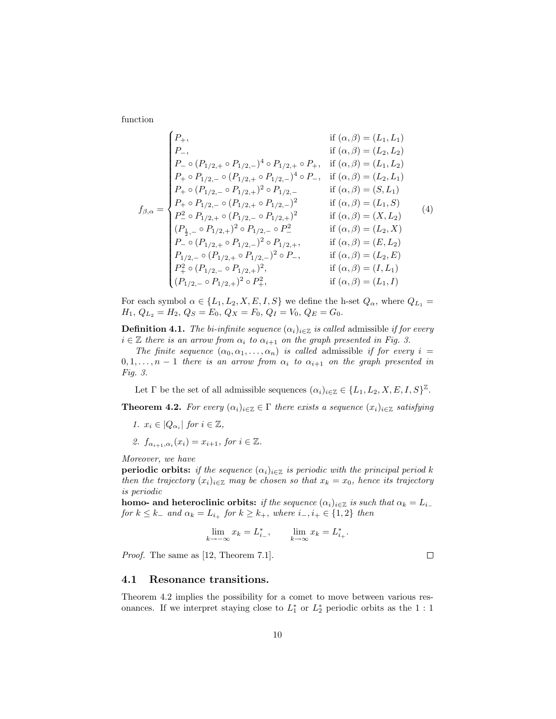function

$$
f_{\beta,\alpha} = \begin{cases} P_+, & \text{if } (\alpha,\beta) = (L_1, L_1) \\ P_-, & \text{if } (\alpha,\beta) = (L_2, L_2) \\ P_-\circ (P_{1/2,+} \circ P_{1/2,-})^4 \circ P_{1/2,+} \circ P_+, & \text{if } (\alpha,\beta) = (L_1, L_2) \\ P_+\circ P_{1/2,-} \circ (P_{1/2,+} \circ P_{1/2,-})^4 \circ P_-, & \text{if } (\alpha,\beta) = (L_2, L_1) \\ P_+\circ (P_{1/2,-} \circ P_{1/2,+})^2 \circ P_{1/2,-} & \text{if } (\alpha,\beta) = (S, L_1) \\ P_+\circ P_{1/2,-} \circ (P_{1/2,+} \circ P_{1/2,-})^2 & \text{if } (\alpha,\beta) = (S, L_1) \\ P_-^2 \circ P_{1/2,+} \circ (P_{1/2,-} \circ P_{1/2,+})^2 & \text{if } (\alpha,\beta) = (L_1, S) \\ (P_{\frac{1}{2},-} \circ P_{1/2,+})^2 \circ P_{1/2,-} \circ P_{\frac{1}{2}} & \text{if } (\alpha,\beta) = (X, L_2) \\ P_-\circ (P_{1/2,+} \circ P_{1/2,-})^2 \circ P_{1/2,+}, & \text{if } (\alpha,\beta) = (L_2, X) \\ P_{1/2,-} \circ (P_{1/2,+} \circ P_{1/2,-})^2 \circ P_-, & \text{if } (\alpha,\beta) = (L_2, E) \\ P_{\frac{1}{2}} \circ (P_{1/2,-} \circ P_{1/2,+})^2, & \text{if } (\alpha,\beta) = (L_1, L_1) \\ (P_{1/2,-} \circ P_{1/2,+})^2 \circ P_{\frac{1}{2}}, & \text{if } (\alpha,\beta) = (L_1, I) \end{cases}
$$

For each symbol  $\alpha \in \{L_1, L_2, X, E, I, S\}$  we define the h-set  $Q_{\alpha}$ , where  $Q_{L_1}$  =  $H_1, Q_{L_2} = H_2, Q_S = E_0, Q_X = F_0, Q_I = V_0, Q_E = G_0.$ 

**Definition 4.1.** The bi-infinite sequence  $(\alpha_i)_{i\in\mathbb{Z}}$  is called admissible if for every  $i \in \mathbb{Z}$  there is an arrow from  $\alpha_i$  to  $\alpha_{i+1}$  on the graph presented in Fig. 3.

The finite sequence  $(\alpha_0, \alpha_1, \ldots, \alpha_n)$  is called admissible if for every  $i =$  $0, 1, \ldots, n-1$  there is an arrow from  $\alpha_i$  to  $\alpha_{i+1}$  on the graph presented in Fig. 3.

Let  $\Gamma$  be the set of all admissible sequences  $(\alpha_i)_{i\in\mathbb{Z}} \in \{L_1, L_2, X, E, I, S\}^{\mathbb{Z}}$ .

**Theorem 4.2.** For every  $(\alpha_i)_{i \in \mathbb{Z}} \in \Gamma$  there exists a sequence  $(x_i)_{i \in \mathbb{Z}}$  satisfying

- 1.  $x_i \in |Q_{\alpha_i}|$  for  $i \in \mathbb{Z}$ ,
- 2.  $f_{\alpha_{i+1},\alpha_i}(x_i) = x_{i+1}$ , for  $i \in \mathbb{Z}$ .

Moreover, we have

**periodic orbits:** if the sequence  $(\alpha_i)_{i \in \mathbb{Z}}$  is periodic with the principal period k then the trajectory  $(x_i)_{i\in\mathbb{Z}}$  may be chosen so that  $x_k = x_0$ , hence its trajectory is periodic

homo- and heteroclinic orbits: if the sequence  $(\alpha_i)_{i\in\mathbb{Z}}$  is such that  $\alpha_k = L_{i-1}$ for  $k \leq k_-$  and  $\alpha_k = L_{i_+}$  for  $k \geq k_+$ , where  $i_-, i_+ \in \{1,2\}$  then

$$
\lim_{k \to -\infty} x_k = L_{i-}^*, \qquad \lim_{k \to \infty} x_k = L_{i+}^*.
$$

Proof. The same as [12, Theorem 7.1].

4.1 Resonance transitions.

Theorem 4.2 implies the possibility for a comet to move between various resonances. If we interpret staying close to  $L_1^*$  or  $L_2^*$  periodic orbits as the 1 : 1

 $\Box$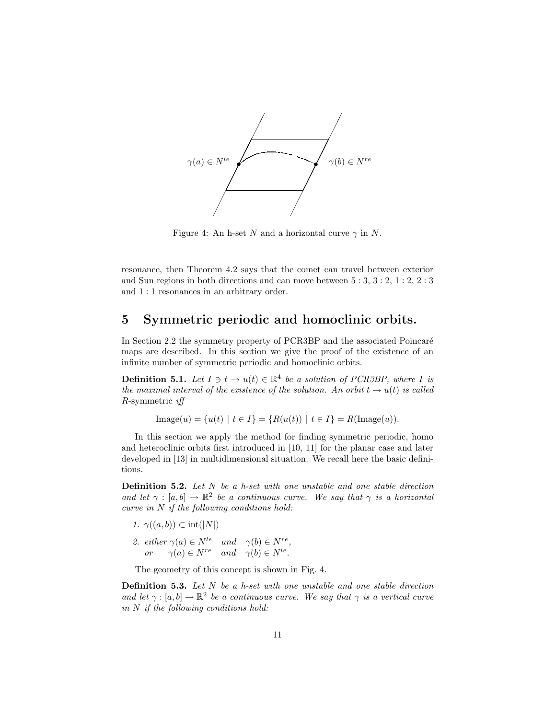

Figure 4: An h-set N and a horizontal curve  $\gamma$  in N.

resonance, then Theorem 4.2 says that the comet can travel between exterior and Sun regions in both directions and can move between 5 : 3, 3 : 2, 1 : 2, 2 : 3 and 1 : 1 resonances in an arbitrary order.

# 5 Symmetric periodic and homoclinic orbits.

In Section 2.2 the symmetry property of PCR3BP and the associated Poincaré maps are described. In this section we give the proof of the existence of an infinite number of symmetric periodic and homoclinic orbits.

**Definition 5.1.** Let  $I \ni t \to u(t) \in \mathbb{R}^4$  be a solution of PCR3BP, where I is the maximal interval of the existence of the solution. An orbit  $t \rightarrow u(t)$  is called R-symmetric iff

 $\text{Image}(u) = \{u(t) \mid t \in I\} = \{R(u(t)) \mid t \in I\} = R(\text{Image}(u)).$ 

In this section we apply the method for finding symmetric periodic, homo and heteroclinic orbits first introduced in [10, 11] for the planar case and later developed in [13] in multidimensional situation. We recall here the basic definitions.

**Definition 5.2.** Let  $N$  be a h-set with one unstable and one stable direction and let  $\gamma : [a, b] \to \mathbb{R}^2$  be a continuous curve. We say that  $\gamma$  is a horizontal curve in  $N$  if the following conditions hold:

- 1.  $\gamma((a, b)) \subset \text{int}(|N|)$
- 2. either  $\gamma(a) \in N^{le}$  and  $\gamma(b) \in N^{re}$ , or  $\gamma(a) \in N^{re}$  and  $\gamma(b) \in N^{le}$ .

The geometry of this concept is shown in Fig. 4.

**Definition 5.3.** Let  $N$  be a h-set with one unstable and one stable direction and let  $\gamma : [a, b] \to \mathbb{R}^2$  be a continuous curve. We say that  $\gamma$  is a vertical curve in  $N$  if the following conditions hold: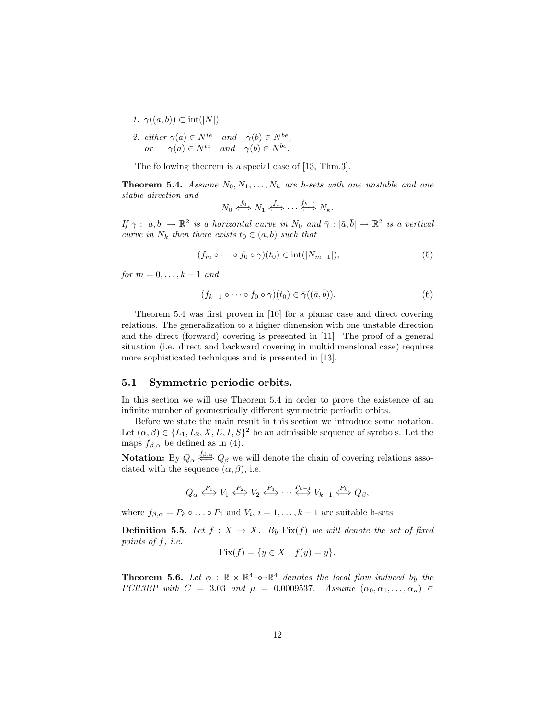- 1.  $\gamma((a, b)) \subset \text{int}(|N|)$
- 2. either  $\gamma(a) \in N^{te}$  and  $\gamma(b) \in N^{be}$ , or  $\gamma(a) \in N^{te}$  and  $\gamma(b) \in N^{be}$ .

The following theorem is a special case of [13, Thm.3].

**Theorem 5.4.** Assume  $N_0, N_1, \ldots, N_k$  are h-sets with one unstable and one stable direction and

$$
N_0 \stackrel{f_0}{\iff} N_1 \stackrel{f_1}{\iff} \cdots \stackrel{f_{k-1}}{\iff} N_k.
$$

If  $\gamma : [a, b] \to \mathbb{R}^2$  is a horizontal curve in  $N_0$  and  $\overline{\gamma} : [\overline{a}, \overline{b}] \to \mathbb{R}^2$  is a vertical curve in  $N_k$  then there exists  $t_0 \in (a, b)$  such that

$$
(f_m \circ \cdots \circ f_0 \circ \gamma)(t_0) \in \text{int}(|N_{m+1}|),\tag{5}
$$

for  $m = 0, \ldots, k-1$  and

$$
(f_{k-1}\circ\cdots\circ f_0\circ\gamma)(t_0)\in\bar{\gamma}((\bar{a},\bar{b})).\tag{6}
$$

Theorem 5.4 was first proven in [10] for a planar case and direct covering relations. The generalization to a higher dimension with one unstable direction and the direct (forward) covering is presented in [11]. The proof of a general situation (i.e. direct and backward covering in multidimensional case) requires more sophisticated techniques and is presented in [13].

#### 5.1 Symmetric periodic orbits.

In this section we will use Theorem 5.4 in order to prove the existence of an infinite number of geometrically different symmetric periodic orbits.

Before we state the main result in this section we introduce some notation. Let  $(\alpha, \beta) \in \{L_1, L_2, X, E, I, S\}^2$  be an admissible sequence of symbols. Let the maps  $f_{\beta,\alpha}$  be defined as in (4).

**Notation:** By  $Q_{\alpha} \stackrel{f_{\beta,\alpha}}{\iff} Q_{\beta}$  we will denote the chain of covering relations associated with the sequence  $(\alpha, \beta)$ , i.e.

$$
Q_{\alpha} \stackrel{P_1}{\iff} V_1 \stackrel{P_2}{\iff} V_2 \stackrel{P_3}{\iff} \cdots \stackrel{P_{k-1}}{\iff} V_{k-1} \stackrel{P_k}{\iff} Q_{\beta},
$$

where  $f_{\beta,\alpha} = P_k \circ \dots \circ P_1$  and  $V_i$ ,  $i = 1, \dots, k-1$  are suitable h-sets.

**Definition 5.5.** Let  $f : X \to X$ . By Fix(f) we will denote the set of fixed points of f, i.e.

$$
Fix(f) = \{ y \in X \mid f(y) = y \}.
$$

**Theorem 5.6.** Let  $\phi$  :  $\mathbb{R} \times \mathbb{R}^4$  - $\leftrightarrow \mathbb{R}^4$  denotes the local flow induced by the PCR3BP with  $C = 3.03$  and  $\mu = 0.0009537$ . Assume  $(\alpha_0, \alpha_1, \ldots, \alpha_n)$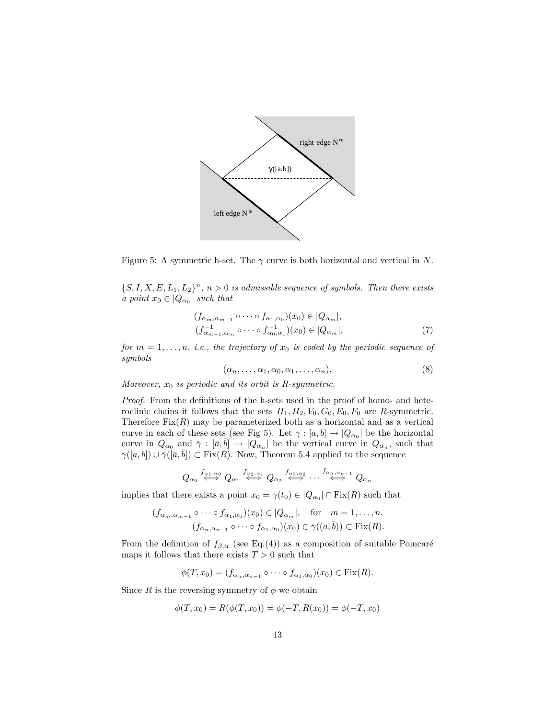

Figure 5: A symmetric h-set. The  $\gamma$  curve is both horizontal and vertical in N.

 $\{S, I, X, E, L_1, L_2\}^n$ ,  $n > 0$  is admissible sequence of symbols. Then there exists a point  $x_0 \in |Q_{\alpha_0}|$  such that

$$
(f_{\alpha_m,\alpha_{m-1}} \circ \cdots \circ f_{\alpha_1,\alpha_0})(x_0) \in |Q_{\alpha_m}|,
$$
  

$$
(f_{\alpha_{m-1},\alpha_m}^{-1} \circ \cdots \circ f_{\alpha_0,\alpha_1}^{-1})(x_0) \in |Q_{\alpha_m}|,
$$
 (7)

for  $m = 1, \ldots, n$ , i.e., the trajectory of  $x_0$  is coded by the periodic sequence of symbols

$$
(\alpha_n, \ldots, \alpha_1, \alpha_0, \alpha_1, \ldots, \alpha_n). \tag{8}
$$

Moreover,  $x_0$  is periodic and its orbit is R-symmetric.

Proof. From the definitions of the h-sets used in the proof of homo- and heteroclinic chains it follows that the sets  $H_1, H_2, V_0, G_0, E_0, F_0$  are R-symmetric. Therefore  $Fix(R)$  may be parameterized both as a horizontal and as a vertical curve in each of these sets (see Fig 5). Let  $\gamma : [a, b] \to |Q_{\alpha_0}|$  be the horizontal curve in  $Q_{\alpha_0}$  and  $\bar{\gamma}: [\bar{a}, \bar{b}] \to |Q_{\alpha_n}|$  be the vertical curve in  $Q_{\alpha_n}$ , such that  $\gamma([a, b]) \cup \overline{\gamma([a, b])} \subset \text{Fix}(R)$ . Now, Theorem 5.4 applied to the sequence

$$
Q_{\alpha_0} \stackrel{f_{\alpha_1,\alpha_0}}{\iff} Q_{\alpha_1} \stackrel{f_{\alpha_2,\alpha_1}}{\iff} Q_{\alpha_2} \stackrel{f_{\alpha_3,\alpha_2}}{\iff} \cdots \stackrel{f_{\alpha_n,\alpha_{n-1}}}{\iff} Q_{\alpha_n}
$$

implies that there exists a point  $x_0 = \gamma(t_0) \in |Q_{\alpha_0}| \cap \text{Fix}(R)$  such that

$$
(f_{\alpha_m,\alpha_{m-1}} \circ \cdots \circ f_{\alpha_1,\alpha_0})(x_0) \in |Q_{\alpha_m}|, \text{ for } m = 1,\ldots,n,
$$
  

$$
(f_{\alpha_n,\alpha_{n-1}} \circ \cdots \circ f_{\alpha_1,\alpha_0})(x_0) \in \overline{\gamma}((\overline{a},\overline{b})) \subset \text{Fix}(R).
$$

From the definition of  $f_{\beta,\alpha}$  (see Eq.(4)) as a composition of suitable Poincaré maps it follows that there exists  $T>0$  such that

 $\phi(T, x_0) = (f_{\alpha_n, \alpha_{n-1}} \circ \cdots \circ f_{\alpha_1, \alpha_0})(x_0) \in \text{Fix}(R).$ 

Since R is the reversing symmetry of  $\phi$  we obtain

$$
\phi(T, x_0) = R(\phi(T, x_0)) = \phi(-T, R(x_0)) = \phi(-T, x_0)
$$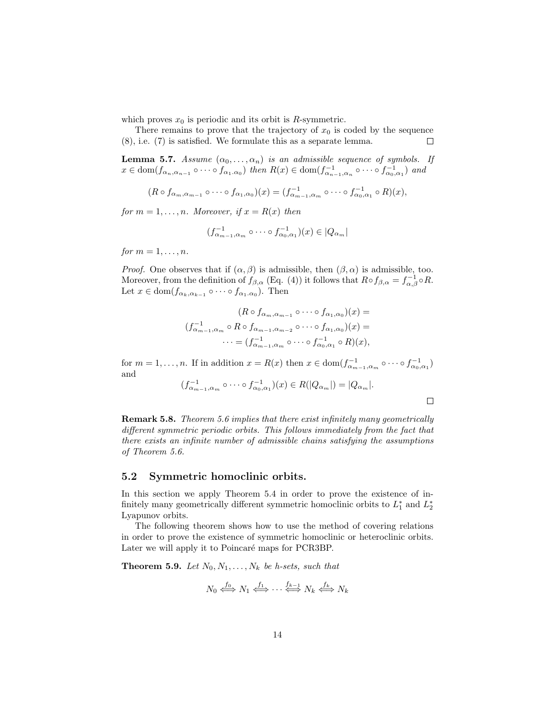which proves  $x_0$  is periodic and its orbit is R-symmetric.

There remains to prove that the trajectory of  $x_0$  is coded by the sequence (8), i.e. (7) is satisfied. We formulate this as a separate lemma.  $\Box$ 

**Lemma 5.7.** Assume  $(\alpha_0, \ldots, \alpha_n)$  is an admissible sequence of symbols. If  $x \in \text{dom}(f_{\alpha_n, \alpha_{n-1}} \circ \cdots \circ f_{\alpha_1, \alpha_0})$  then  $R(x) \in \text{dom}(f_{\alpha_{n-1}, \alpha_n}^{-1} \circ \cdots \circ f_{\alpha_0, \alpha_1}^{-1})$  and

 $(R \circ f_{\alpha_m,\alpha_{m-1}} \circ \cdots \circ f_{\alpha_1,\alpha_0})(x) = (f_{\alpha_{m-1},\alpha_m}^{-1} \circ \cdots \circ f_{\alpha_0,\alpha_1}^{-1} \circ R)(x),$ 

for  $m = 1, \ldots, n$ . Moreover, if  $x = R(x)$  then

$$
(f_{\alpha_{m-1},\alpha_m}^{-1}\circ\cdots\circ f_{\alpha_0,\alpha_1}^{-1})(x)\in |Q_{\alpha_m}|
$$

for  $m = 1, \ldots, n$ .

*Proof.* One observes that if  $(\alpha, \beta)$  is admissible, then  $(\beta, \alpha)$  is admissible, too. Moreover, from the definition of  $f_{\beta,\alpha}$  (Eq. (4)) it follows that  $R \circ f_{\beta,\alpha} = f_{\alpha,\beta}^{-1} \circ R$ . Let  $x \in \text{dom}(f_{\alpha_k,\alpha_{k-1}} \circ \cdots \circ f_{\alpha_1,\alpha_0})$ . Then

$$
(R \circ f_{\alpha_m, \alpha_{m-1}} \circ \cdots \circ f_{\alpha_1, \alpha_0})(x) =
$$
  

$$
(f_{\alpha_{m-1}, \alpha_m}^{-1} \circ R \circ f_{\alpha_{m-1}, \alpha_{m-2}} \circ \cdots \circ f_{\alpha_1, \alpha_0})(x) =
$$
  

$$
\cdots = (f_{\alpha_{m-1}, \alpha_m}^{-1} \circ \cdots \circ f_{\alpha_0, \alpha_1}^{-1} \circ R)(x),
$$

for  $m = 1, \ldots, n$ . If in addition  $x = R(x)$  then  $x \in \text{dom}(f^{-1}_{\alpha_{m-1}, \alpha_m} \circ \cdots \circ f^{-1}_{\alpha_0, \alpha_1})$ and

$$
(f_{\alpha_{m-1},\alpha_m}^{-1}\circ\cdots\circ f_{\alpha_0,\alpha_1}^{-1})(x)\in R(|Q_{\alpha_m}|)=|Q_{\alpha_m}|.
$$

Remark 5.8. Theorem 5.6 implies that there exist infinitely many geometrically different symmetric periodic orbits. This follows immediately from the fact that there exists an infinite number of admissible chains satisfying the assumptions of Theorem 5.6.

#### 5.2 Symmetric homoclinic orbits.

In this section we apply Theorem 5.4 in order to prove the existence of infinitely many geometrically different symmetric homoclinic orbits to  $L_1^*$  and  $L_2^*$ Lyapunov orbits.

The following theorem shows how to use the method of covering relations in order to prove the existence of symmetric homoclinic or heteroclinic orbits. Later we will apply it to Poincaré maps for PCR3BP.

**Theorem 5.9.** Let  $N_0, N_1, \ldots, N_k$  be h-sets, such that

$$
N_0 \xleftrightarrow{f_0} N_1 \xleftrightarrow{f_1} \cdots \xleftrightarrow{f_{k-1}} N_k \xleftrightarrow{f_k} N_k
$$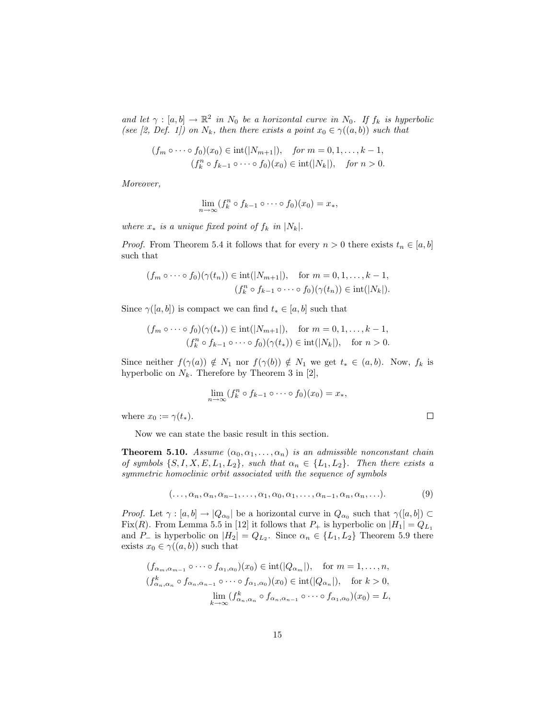and let  $\gamma : [a, b] \to \mathbb{R}^2$  in  $N_0$  be a horizontal curve in  $N_0$ . If  $f_k$  is hyperbolic (see [2, Def. 1]) on  $N_k$ , then there exists a point  $x_0 \in \gamma((a, b))$  such that

$$
(f_m \circ \cdots \circ f_0)(x_0) \in \text{int}(|N_{m+1}|), \quad \text{for } m = 0, 1, \ldots, k-1,
$$
  

$$
(f_k^n \circ f_{k-1} \circ \cdots \circ f_0)(x_0) \in \text{int}(|N_k|), \quad \text{for } n > 0.
$$

Moreover,

$$
\lim_{n\to\infty}(f_k^n\circ f_{k-1}\circ\cdots\circ f_0)(x_0)=x_*,
$$

where  $x_*$  is a unique fixed point of  $f_k$  in  $|N_k|$ .

*Proof.* From Theorem 5.4 it follows that for every  $n > 0$  there exists  $t_n \in [a, b]$ such that

$$
(f_m \circ \cdots \circ f_0)(\gamma(t_n)) \in \text{int}(|N_{m+1}|), \text{ for } m = 0, 1, \dots, k-1,
$$
  

$$
(f_k^n \circ f_{k-1} \circ \cdots \circ f_0)(\gamma(t_n)) \in \text{int}(|N_k|).
$$

Since  $\gamma([a, b])$  is compact we can find  $t_* \in [a, b]$  such that

$$
(f_m \circ \cdots \circ f_0)(\gamma(t_*)) \in \text{int}(|N_{m+1}|), \quad \text{for } m = 0, 1, \dots, k-1,
$$
  

$$
(f_k^n \circ f_{k-1} \circ \cdots \circ f_0)(\gamma(t_*)) \in \text{int}(|N_k|), \quad \text{for } n > 0.
$$

Since neither  $f(\gamma(a)) \notin N_1$  nor  $f(\gamma(b)) \notin N_1$  we get  $t_* \in (a, b)$ . Now,  $f_k$  is hyperbolic on  $N_k$ . Therefore by Theorem 3 in [2],

$$
\lim_{n\to\infty}(f_k^n\circ f_{k-1}\circ\cdots\circ f_0)(x_0)=x_*,
$$

where  $x_0 := \gamma(t_*)$ .

Now we can state the basic result in this section.

**Theorem 5.10.** Assume  $(\alpha_0, \alpha_1, \ldots, \alpha_n)$  is an admissible nonconstant chain of symbols  $\{S, I, X, E, L_1, L_2\}$ , such that  $\alpha_n \in \{L_1, L_2\}$ . Then there exists a symmetric homoclinic orbit associated with the sequence of symbols

$$
(\ldots, \alpha_n, \alpha_n, \alpha_{n-1}, \ldots, \alpha_1, \alpha_0, \alpha_1, \ldots, \alpha_{n-1}, \alpha_n, \alpha_n, \ldots).
$$
 (9)

 $\Box$ 

*Proof.* Let  $\gamma : [a, b] \to |Q_{\alpha_0}|$  be a horizontal curve in  $Q_{\alpha_0}$  such that  $\gamma([a, b]) \subset$ Fix(R). From Lemma 5.5 in [12] it follows that  $P_+$  is hyperbolic on  $|H_1| = Q_{L_1}$ and  $P_-\$  is hyperbolic on  $|H_2| = Q_{L_2}$ . Since  $\alpha_n \in \{L_1, L_2\}$  Theorem 5.9 there exists  $x_0 \in \gamma((a, b))$  such that

$$
(f_{\alpha_m,\alpha_{m-1}} \circ \cdots \circ f_{\alpha_1,\alpha_0})(x_0) \in \text{int}(|Q_{\alpha_m}|), \text{ for } m = 1,\ldots,n,
$$
  

$$
(f_{\alpha_n,\alpha_n}^k \circ f_{\alpha_n,\alpha_{n-1}} \circ \cdots \circ f_{\alpha_1,\alpha_0})(x_0) \in \text{int}(|Q_{\alpha_n}|), \text{ for } k > 0,
$$
  

$$
\lim_{k \to \infty} (f_{\alpha_n,\alpha_n}^k \circ f_{\alpha_n,\alpha_{n-1}} \circ \cdots \circ f_{\alpha_1,\alpha_0})(x_0) = L,
$$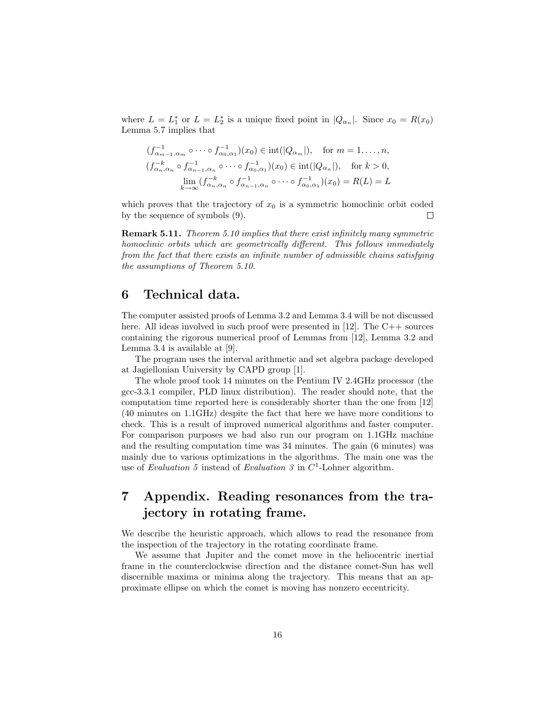where  $L = L_1^*$  or  $L = L_2^*$  is a unique fixed point in  $|Q_{\alpha_n}|$ . Since  $x_0 = R(x_0)$ Lemma 5.7 implies that

$$
(f_{\alpha_{m-1},\alpha_m}^{-1} \circ \cdots \circ f_{\alpha_0,\alpha_1}^{-1})(x_0) \in \text{int}(|Q_{\alpha_m}|), \text{ for } m = 1,\ldots,n,
$$
  

$$
(f_{\alpha_n,\alpha_n}^{-k} \circ f_{\alpha_{n-1},\alpha_n}^{-1} \circ \cdots \circ f_{\alpha_0,\alpha_1}^{-1})(x_0) \in \text{int}(|Q_{\alpha_n}|), \text{ for } k > 0,
$$
  

$$
\lim_{k \to \infty} (f_{\alpha_n,\alpha_n}^{-k} \circ f_{\alpha_{n-1},\alpha_n}^{-1} \circ \cdots \circ f_{\alpha_0,\alpha_1}^{-1})(x_0) = R(L) = L
$$

which proves that the trajectory of  $x_0$  is a symmetric homoclinic orbit coded by the sequence of symbols (9).  $\Box$ 

Remark 5.11. Theorem 5.10 implies that there exist infinitely many symmetric homoclinic orbits which are geometrically different. This follows immediately from the fact that there exists an infinite number of admissible chains satisfying the assumptions of Theorem 5.10.

# 6 Technical data.

The computer assisted proofs of Lemma 3.2 and Lemma 3.4 will be not discussed here. All ideas involved in such proof were presented in [12]. The C++ sources containing the rigorous numerical proof of Lemmas from [12], Lemma 3.2 and Lemma 3.4 is available at [9].

The program uses the interval arithmetic and set algebra package developed at Jagiellonian University by CAPD group [1].

The whole proof took 14 minutes on the Pentium IV 2.4GHz processor (the gcc-3.3.1 compiler, PLD linux distribution). The reader should note, that the computation time reported here is considerably shorter than the one from [12] (40 minutes on 1.1GHz) despite the fact that here we have more conditions to check. This is a result of improved numerical algorithms and faster computer. For comparison purposes we had also run our program on 1.1GHz machine and the resulting computation time was 34 minutes. The gain (6 minutes) was mainly due to various optimizations in the algorithms. The main one was the use of Evaluation 5 instead of Evaluation 3 in  $C<sup>1</sup>$ -Lohner algorithm.

# 7 Appendix. Reading resonances from the trajectory in rotating frame.

We describe the heuristic approach, which allows to read the resonance from the inspection of the trajectory in the rotating coordinate frame.

We assume that Jupiter and the comet move in the heliocentric inertial frame in the counterclockwise direction and the distance comet-Sun has well discernible maxima or minima along the trajectory. This means that an approximate ellipse on which the comet is moving has nonzero eccentricity.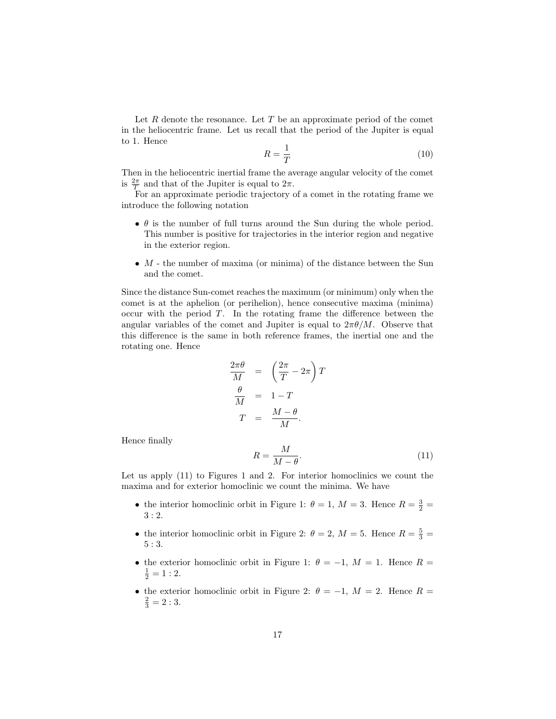Let R denote the resonance. Let T be an approximate period of the comet in the heliocentric frame. Let us recall that the period of the Jupiter is equal to 1. Hence

$$
R = \frac{1}{T} \tag{10}
$$

Then in the heliocentric inertial frame the average angular velocity of the comet is  $\frac{2\pi}{T}$  and that of the Jupiter is equal to  $2\pi$ .

For an approximate periodic trajectory of a comet in the rotating frame we introduce the following notation

- $\bullet$   $\theta$  is the number of full turns around the Sun during the whole period. This number is positive for trajectories in the interior region and negative in the exterior region.
- $M$  the number of maxima (or minima) of the distance between the Sun and the comet.

Since the distance Sun-comet reaches the maximum (or minimum) only when the comet is at the aphelion (or perihelion), hence consecutive maxima (minima) occur with the period  $T$ . In the rotating frame the difference between the angular variables of the comet and Jupiter is equal to  $2\pi\theta/M$ . Observe that this difference is the same in both reference frames, the inertial one and the rotating one. Hence

$$
\frac{2\pi\theta}{M} = \left(\frac{2\pi}{T} - 2\pi\right)T
$$

$$
\frac{\theta}{M} = 1 - T
$$

$$
T = \frac{M - \theta}{M}.
$$

Hence finally

$$
R = \frac{M}{M - \theta}.\tag{11}
$$

Let us apply  $(11)$  to Figures 1 and 2. For interior homoclinics we count the maxima and for exterior homoclinic we count the minima. We have

- the interior homoclinic orbit in Figure 1:  $\theta = 1, M = 3$ . Hence  $R = \frac{3}{2} =$ 3 : 2.
- the interior homoclinic orbit in Figure 2:  $\theta = 2$ ,  $M = 5$ . Hence  $R = \frac{5}{3}$ 5 : 3.
- the exterior homoclinic orbit in Figure 1:  $\theta = -1$ ,  $M = 1$ . Hence  $R =$  $\frac{1}{2} = 1:2.$
- the exterior homoclinic orbit in Figure 2:  $\theta = -1$ ,  $M = 2$ . Hence  $R =$  $\frac{2}{3} = 2:3.$